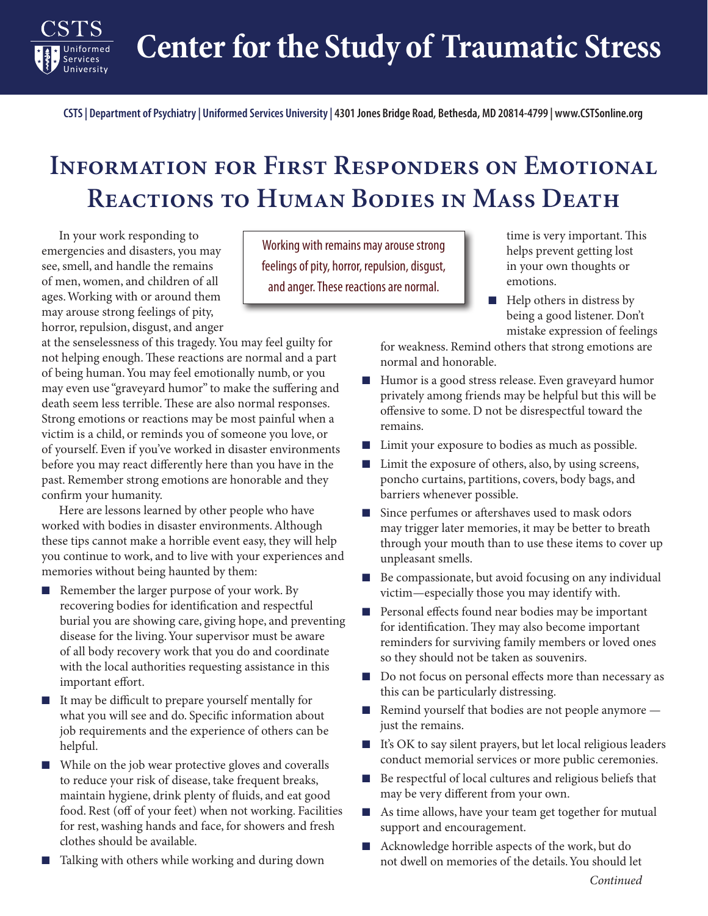**Center for the Study of Traumatic Stress**

**CSTS | Department of Psychiatry | Uniformed Services University | 4301 Jones Bridge Road, Bethesda, MD 20814-4799 | www.CSTSonline.org**

## **Information for First Responders on Emotional Reactions to Human Bodies in Mass Death**

In your work responding to emergencies and disasters, you may see, smell, and handle the remains of men, women, and children of all ages. Working with or around them may arouse strong feelings of pity, horror, repulsion, disgust, and anger

Services University

at the senselessness of this tragedy. You may feel guilty for not helping enough. These reactions are normal and a part of being human. You may feel emotionally numb, or you may even use "graveyard humor" to make the suffering and death seem less terrible. These are also normal responses. Strong emotions or reactions may be most painful when a victim is a child, or reminds you of someone you love, or of yourself. Even if you've worked in disaster environments before you may react differently here than you have in the past. Remember strong emotions are honorable and they confirm your humanity.

Here are lessons learned by other people who have worked with bodies in disaster environments. Although these tips cannot make a horrible event easy, they will help you continue to work, and to live with your experiences and memories without being haunted by them:

- Remember the larger purpose of your work. By recovering bodies for identification and respectful burial you are showing care, giving hope, and preventing disease for the living. Your supervisor must be aware of all body recovery work that you do and coordinate with the local authorities requesting assistance in this important effort.
- It may be difficult to prepare yourself mentally for what you will see and do. Specific information about job requirements and the experience of others can be helpful.
- While on the job wear protective gloves and coveralls to reduce your risk of disease, take frequent breaks, maintain hygiene, drink plenty of fluids, and eat good food. Rest (off of your feet) when not working. Facilities for rest, washing hands and face, for showers and fresh clothes should be available.
- Talking with others while working and during down

Working with remains may arouse strong feelings of pity, horror, repulsion, disgust, and anger. These reactions are normal.

time is very important. This helps prevent getting lost in your own thoughts or emotions.

■ Help others in distress by being a good listener. Don't mistake expression of feelings

for weakness. Remind others that strong emotions are normal and honorable.

- Humor is a good stress release. Even graveyard humor privately among friends may be helpful but this will be offensive to some. D not be disrespectful toward the remains.
- Limit your exposure to bodies as much as possible.
- Limit the exposure of others, also, by using screens, poncho curtains, partitions, covers, body bags, and barriers whenever possible.
- Since perfumes or aftershaves used to mask odors may trigger later memories, it may be better to breath through your mouth than to use these items to cover up unpleasant smells.
- Be compassionate, but avoid focusing on any individual victim—especially those you may identify with.
- Personal effects found near bodies may be important for identification. They may also become important reminders for surviving family members or loved ones so they should not be taken as souvenirs.
- Do not focus on personal effects more than necessary as this can be particularly distressing.
- Remind yourself that bodies are not people anymore just the remains.
- It's OK to say silent prayers, but let local religious leaders conduct memorial services or more public ceremonies.
- Be respectful of local cultures and religious beliefs that may be very different from your own.
- As time allows, have your team get together for mutual support and encouragement.
- Acknowledge horrible aspects of the work, but do not dwell on memories of the details. You should let